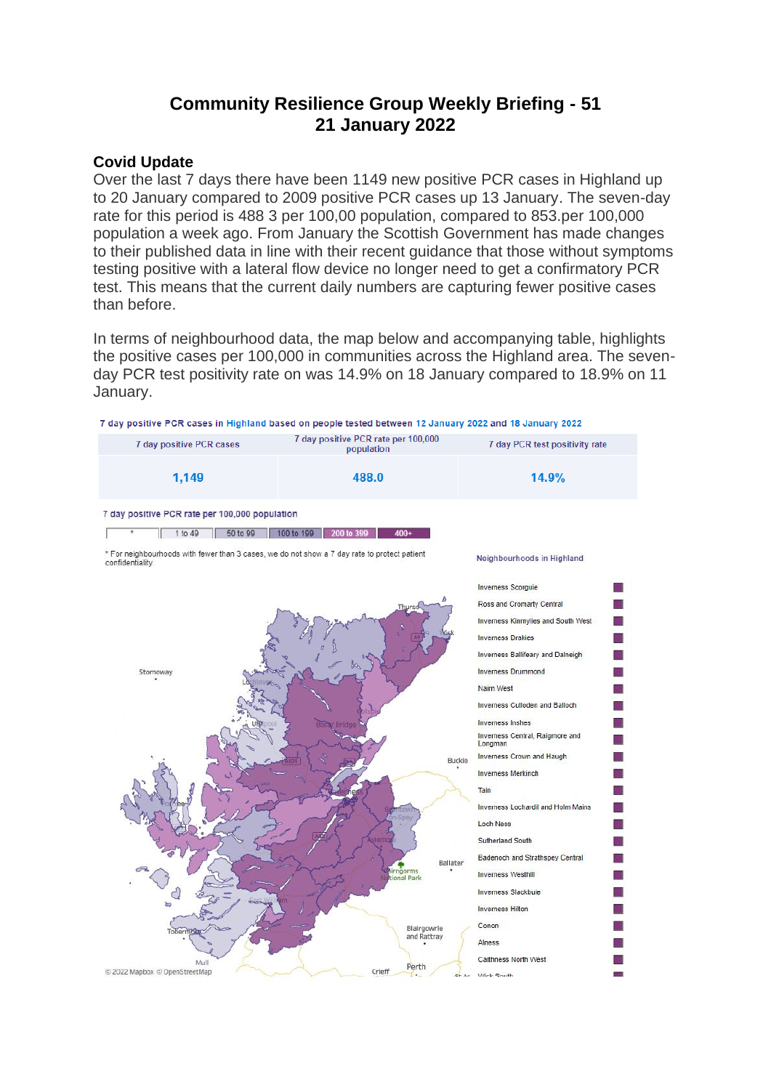# **Community Resilience Group Weekly Briefing - 51 21 January 2022**

#### **Covid Update**

Over the last 7 days there have been 1149 new positive PCR cases in Highland up to 20 January compared to 2009 positive PCR cases up 13 January. The seven-day rate for this period is 488 3 per 100,00 population, compared to 853.per 100,000 population a week ago. From January the Scottish Government has made changes to their published data in line with their recent guidance that those without symptoms testing positive with a lateral flow device no longer need to get a confirmatory PCR test. This means that the current daily numbers are capturing fewer positive cases than before.

In terms of neighbourhood data, the map below and accompanying table, highlights the positive cases per 100,000 in communities across the Highland area. The sevenday PCR test positivity rate on was 14.9% on 18 January compared to 18.9% on 11 January.

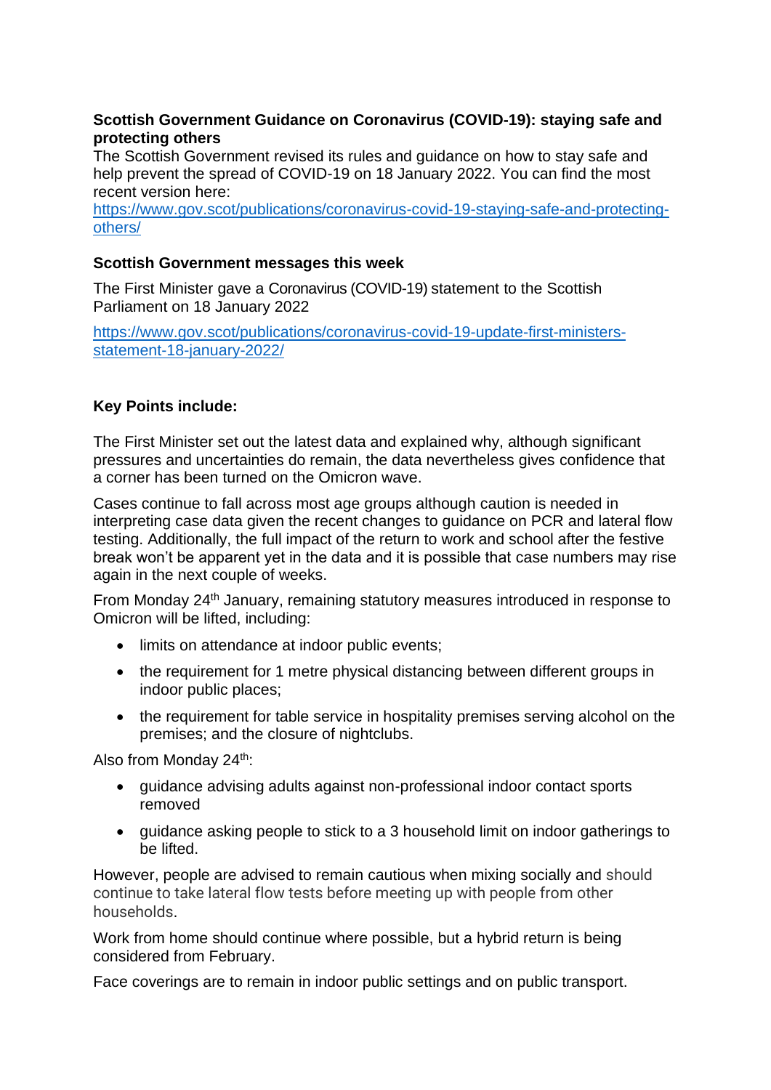# **Scottish Government Guidance on Coronavirus (COVID-19): staying safe and protecting others**

The Scottish Government revised its rules and guidance on how to stay safe and help prevent the spread of COVID-19 on 18 January 2022. You can find the most recent version here:

[https://www.gov.scot/publications/coronavirus-covid-19-staying-safe-and-protecting](https://www.gov.scot/publications/coronavirus-covid-19-staying-safe-and-protecting-others/)[others/](https://www.gov.scot/publications/coronavirus-covid-19-staying-safe-and-protecting-others/)

# **Scottish Government messages this week**

The First Minister gave a Coronavirus (COVID-19) statement to the Scottish Parliament on 18 January 2022

[https://www.gov.scot/publications/coronavirus-covid-19-update-first-ministers](https://www.gov.scot/publications/coronavirus-covid-19-update-first-ministers-statement-18-january-2022/)[statement-18-january-2022/](https://www.gov.scot/publications/coronavirus-covid-19-update-first-ministers-statement-18-january-2022/)

# **Key Points include:**

The First Minister set out the latest data and explained why, although significant pressures and uncertainties do remain, the data nevertheless gives confidence that a corner has been turned on the Omicron wave.

Cases continue to fall across most age groups although caution is needed in interpreting case data given the recent changes to guidance on PCR and lateral flow testing. Additionally, the full impact of the return to work and school after the festive break won't be apparent yet in the data and it is possible that case numbers may rise again in the next couple of weeks.

From Monday 24<sup>th</sup> January, remaining statutory measures introduced in response to Omicron will be lifted, including:

- limits on attendance at indoor public events:
- the requirement for 1 metre physical distancing between different groups in indoor public places;
- the requirement for table service in hospitality premises serving alcohol on the premises; and the closure of nightclubs.

Also from Monday 24<sup>th</sup>:

- guidance advising adults against non-professional indoor contact sports removed
- guidance asking people to stick to a 3 household limit on indoor gatherings to be lifted.

However, people are advised to remain cautious when mixing socially and should continue to take lateral flow tests before meeting up with people from other households.

Work from home should continue where possible, but a hybrid return is being considered from February.

Face coverings are to remain in indoor public settings and on public transport.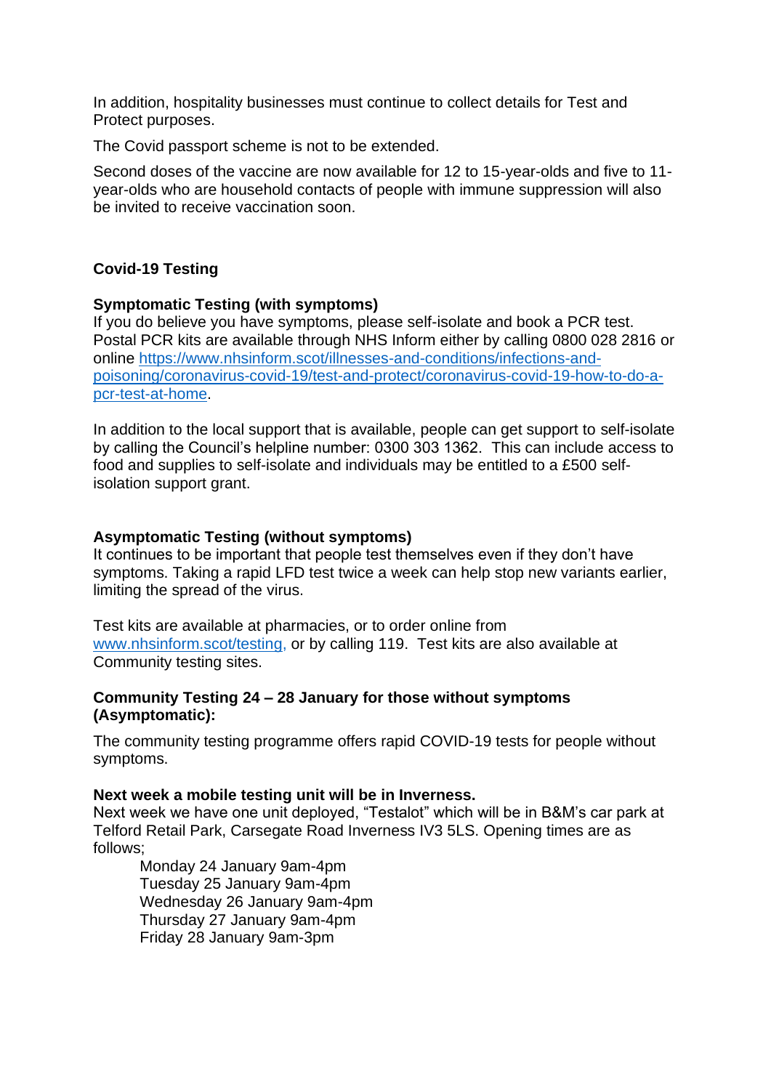In addition, hospitality businesses must continue to collect details for Test and Protect purposes.

The Covid passport scheme is not to be extended.

Second doses of the vaccine are now available for 12 to 15-year-olds and five to 11 year-olds who are household contacts of people with immune suppression will also be invited to receive vaccination soon.

# **Covid-19 Testing**

# **Symptomatic Testing (with symptoms)**

If you do believe you have symptoms, please self-isolate and book a PCR test. Postal PCR kits are available through NHS Inform either by calling 0800 028 2816 or online [https://www.nhsinform.scot/illnesses-and-conditions/infections-and](https://www.nhsinform.scot/illnesses-and-conditions/infections-and-poisoning/coronavirus-covid-19/test-and-protect/coronavirus-covid-19-how-to-do-a-pcr-test-at-home)[poisoning/coronavirus-covid-19/test-and-protect/coronavirus-covid-19-how-to-do-a](https://www.nhsinform.scot/illnesses-and-conditions/infections-and-poisoning/coronavirus-covid-19/test-and-protect/coronavirus-covid-19-how-to-do-a-pcr-test-at-home)[pcr-test-at-home.](https://www.nhsinform.scot/illnesses-and-conditions/infections-and-poisoning/coronavirus-covid-19/test-and-protect/coronavirus-covid-19-how-to-do-a-pcr-test-at-home)

In addition to the local support that is available, people can get support to self-isolate by calling the Council's helpline number: 0300 303 1362. This can include access to food and supplies to self-isolate and individuals may be entitled to a £500 selfisolation support grant.

#### **Asymptomatic Testing (without symptoms)**

It continues to be important that people test themselves even if they don't have symptoms. Taking a rapid LFD test twice a week can help stop new variants earlier, limiting the spread of the virus.

Test kits are available at pharmacies, or to order online from [www.nhsinform.scot/testing,](http://www.nhsinform.scot/testing) or by calling 119. Test kits are also available at Community testing sites.

#### **Community Testing 24 – 28 January for those without symptoms (Asymptomatic):**

The community testing programme offers rapid COVID-19 tests for people without symptoms.

#### **Next week a mobile testing unit will be in Inverness.**

Next week we have one unit deployed, "Testalot" which will be in B&M's car park at Telford Retail Park, Carsegate Road Inverness IV3 5LS. Opening times are as follows;

Monday 24 January 9am-4pm Tuesday 25 January 9am-4pm Wednesday 26 January 9am-4pm Thursday 27 January 9am-4pm Friday 28 January 9am-3pm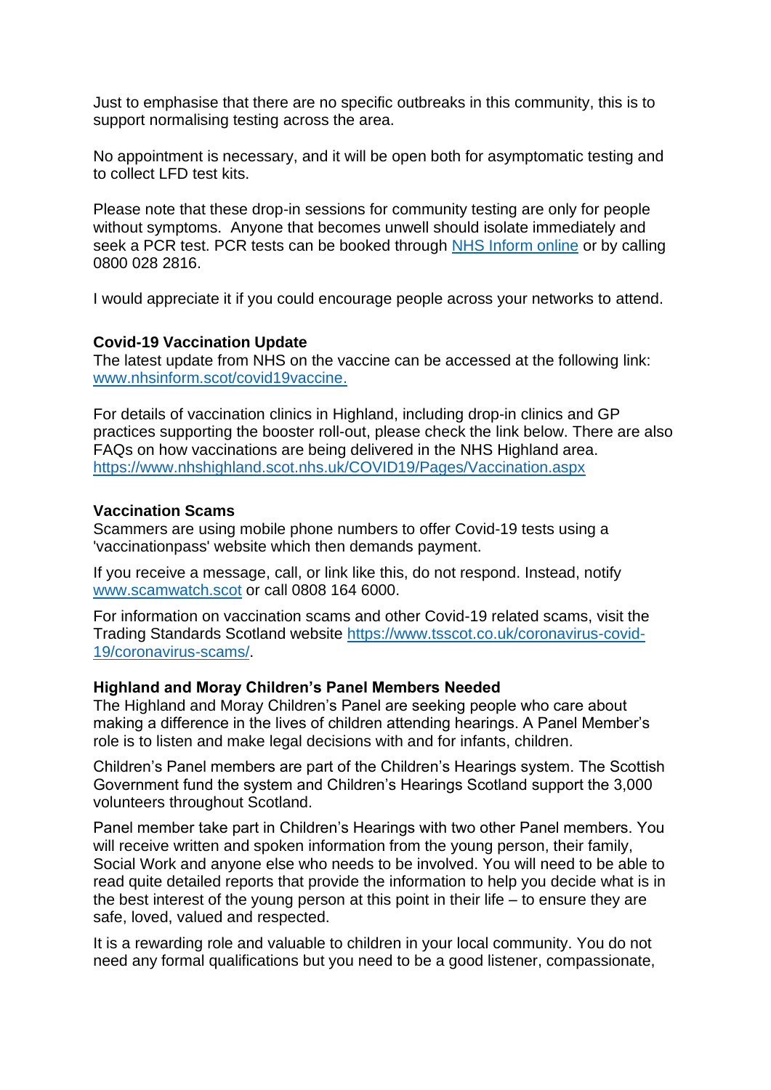Just to emphasise that there are no specific outbreaks in this community, this is to support normalising testing across the area.

No appointment is necessary, and it will be open both for asymptomatic testing and to collect LFD test kits.

Please note that these drop-in sessions for community testing are only for people without symptoms. Anyone that becomes unwell should isolate immediately and seek a PCR test. PCR tests can be booked through NHS [Inform](https://www.nhsinform.scot/illnesses-and-conditions/infections-and-poisoning/coronavirus-covid-19/test-and-protect/coronavirus-covid-19-get-a-test-if-you-have-symptoms) online or by calling 0800 028 2816.

I would appreciate it if you could encourage people across your networks to attend.

#### **Covid-19 Vaccination Update**

The latest update from NHS on the vaccine can be accessed at the following link: [www.nhsinform.scot/covid19vaccine.](http://www.nhsinform.scot/covid19vaccine)

For details of vaccination clinics in Highland, including drop-in clinics and GP practices supporting the booster roll-out, please check the link below. There are also FAQs on how vaccinations are being delivered in the NHS Highland area. <https://www.nhshighland.scot.nhs.uk/COVID19/Pages/Vaccination.aspx>

# **Vaccination Scams**

Scammers are using mobile phone numbers to offer Covid-19 tests using a 'vaccinationpass' website which then demands payment.

If you receive a message, call, or link like this, do not respond. Instead, notify [www.scamwatch.scot](https://l.facebook.com/l.php?u=http%3A%2F%2Fwww.scamwatch.scot%2F%3Ffbclid%3DIwAR1CaklQ6iwavFGlp5wGDowoOIQAIkVsr2aHwiu7cGzNoEY_ESeOOyTPex4&h=AT2cl3YgxOodbMWJBxy2LnYguaMttXmC99x_F1OYDn-BVq2Z_ko9mv0LaXAzaBAxVlnp-JCla3gPx5JSO_61K3DsLAcsx0a_eClEc-8WUpVcclYRGyB__0Pf1pe_1jGtPQ&__tn__=-UK-R&c%5b0%5d=AT3JSNQACBoUlAeDvOyI1FQ5CjRUKSKlbEgSC4-XFWORzzDjL7GKJqHUQkylGZ2kgiZGypec69ZGfxWQF2ywRbyopg37e9YxDn0jLUrTVKkMoLj9b_3Uyostyye8do4cQGl_OAqpIXv_FMedmyV2mbbyxHfWSu0IBLzYH6xQ5PTl0-WpCtCw) or call 0808 164 6000.

For information on vaccination scams and other Covid-19 related scams, visit the Trading Standards Scotland website [https://www.tsscot.co.uk/coronavirus-covid-](https://www.tsscot.co.uk/coronavirus-covid-19/coronavirus-scams/)[19/coronavirus-scams/.](https://www.tsscot.co.uk/coronavirus-covid-19/coronavirus-scams/)

# **Highland and Moray Children's Panel Members Needed**

The Highland and Moray Children's Panel are seeking people who care about making a difference in the lives of children attending hearings. A Panel Member's role is to listen and make legal decisions with and for infants, children.

Children's Panel members are part of the Children's Hearings system. The Scottish Government fund the system and Children's Hearings Scotland support the 3,000 volunteers throughout Scotland.

Panel member take part in Children's Hearings with two other Panel members. You will receive written and spoken information from the young person, their family, Social Work and anyone else who needs to be involved. You will need to be able to read quite detailed reports that provide the information to help you decide what is in the best interest of the young person at this point in their life – to ensure they are safe, loved, valued and respected.

It is a rewarding role and valuable to children in your local community. You do not need any formal qualifications but you need to be a good listener, compassionate,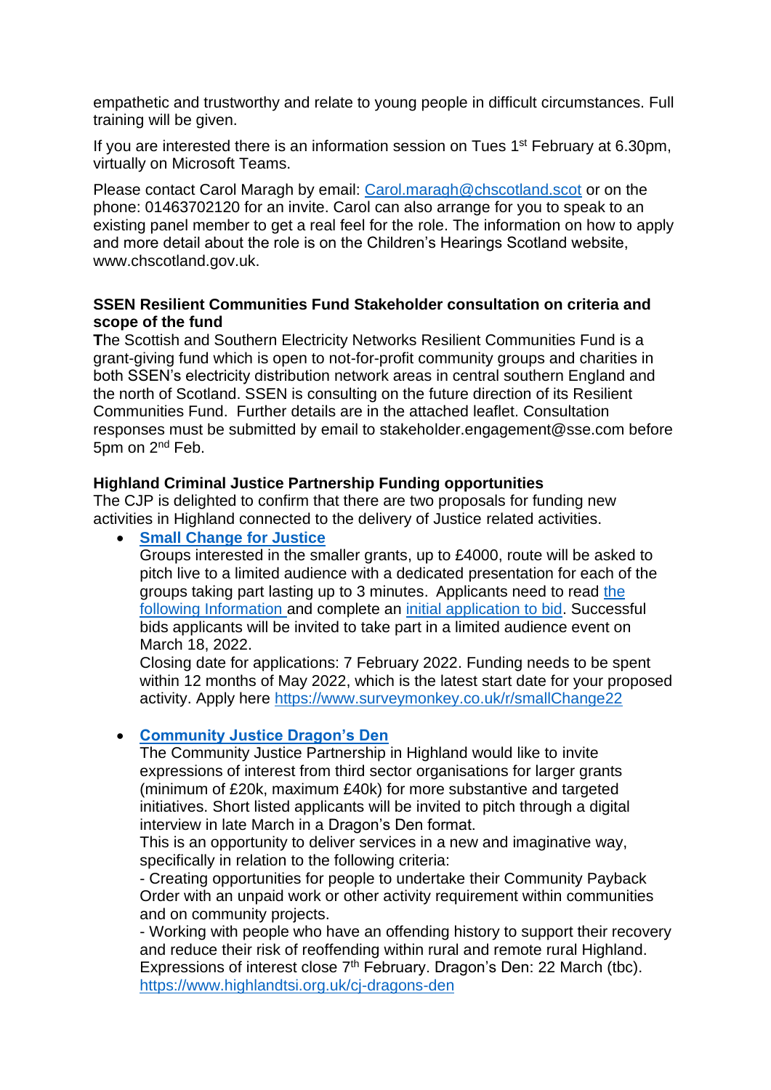empathetic and trustworthy and relate to young people in difficult circumstances. Full training will be given.

If you are interested there is an information session on Tues 1st February at 6.30pm, virtually on Microsoft Teams.

Please contact Carol Maragh by email: [Carol.maragh@chscotland.scot](mailto:Carol.maragh@chscotland.scot) or on the phone: 01463702120 for an invite. Carol can also arrange for you to speak to an existing panel member to get a real feel for the role. The information on how to apply and more detail about the role is on the Children's Hearings Scotland website, [www.chscotland.gov.uk.](https://eur02.safelinks.protection.outlook.com/?url=http%3A%2F%2Fwww.chscotland.gov.uk%2F%3Ffbclid%3DIwAR1xGGByF-2bUxbtH2EDBhPSWNEB9xozjR5ZtpbbK5Qf0qgzGgIta5lQJoU&data=04%7C01%7CRosemary.MacKinnon%40highland.gov.uk%7C4f4f30957f124ad6a58508d9da707951%7C89f0b56e6d164fe89dba176fa940f7c9%7C0%7C0%7C637780999469836509%7CUnknown%7CTWFpbGZsb3d8eyJWIjoiMC4wLjAwMDAiLCJQIjoiV2luMzIiLCJBTiI6Ik1haWwiLCJXVCI6Mn0%3D%7C3000&sdata=4dIAvBM2oaZhfbZ%2FZ7Y2AbwQY4g%2B1PGemNWlnuP5Imw%3D&reserved=0)

# **SSEN Resilient Communities Fund Stakeholder consultation on criteria and scope of the fund**

**T**he Scottish and Southern Electricity Networks Resilient Communities Fund is a grant-giving fund which is open to not-for-profit community groups and charities in both SSEN's electricity distribution network areas in central southern England and the north of Scotland. SSEN is consulting on the future direction of its Resilient Communities Fund. Further details are in the attached leaflet. Consultation responses must be submitted by email to stakeholder.engagement@sse.com before 5pm on 2<sup>nd</sup> Feb.

# **Highland Criminal Justice Partnership Funding opportunities**

The CJP is delighted to confirm that there are two proposals for funding new activities in Highland connected to the delivery of Justice related activities.

**[Small Change for Justice](https://www.surveymonkey.co.uk/r/smallChange22)** 

Groups interested in the smaller grants, up to £4000, route will be asked to pitch live to a limited audience with a dedicated presentation for each of the groups taking part lasting up to 3 minutes. Applicants need to read [the](https://eur02.safelinks.protection.outlook.com/?url=https%3A%2F%2Fr20.rs6.net%2Ftn.jsp%3Ff%3D001whvo3-ZD_tUjbkzoQ1LXKbz3bcvatTKVwJLZb78qUwi_Ea1EZzFp7G3dh8CcQqwR8-w9tzPvYQJyW5rS1-Jht-niQveLW5dN0ETCXbf7RDdllI8M-bmSUe4DWSJWOCECHbHk03vZ7pWZm0XqwIlskF9tDPFi8mP-YH1L7Qn-Av2606vFepiGTbiDTVrPc305cTbSYiY-lTDGkOVCKyV_OXYTL2YBl9QqFC-21n7tA5w%3D%26c%3D-iSj1mRhN9NWPytR8ge-jNlRqzCEMQ9zyobGpWvsz454Gqx0FrriJA%3D%3D%26ch%3DBStSwlDg0A_Wk9EYONT5pIAKruyEYaH4JLc_kVzsROzBweRr8I-GQg%3D%3D&data=04%7C01%7CRosemary.MacKinnon%40highland.gov.uk%7Cb1e2f3a5fcdb470d780008d9dbf6132e%7C89f0b56e6d164fe89dba176fa940f7c9%7C0%7C0%7C637782672188454108%7CUnknown%7CTWFpbGZsb3d8eyJWIjoiMC4wLjAwMDAiLCJQIjoiV2luMzIiLCJBTiI6Ik1haWwiLCJXVCI6Mn0%3D%7C3000&sdata=y%2FMUQH1vvTepr4iFocmIlhj3f0Gn%2BdgBa91Y7VvzA%2BQ%3D&reserved=0)  [following Information a](https://eur02.safelinks.protection.outlook.com/?url=https%3A%2F%2Fr20.rs6.net%2Ftn.jsp%3Ff%3D001whvo3-ZD_tUjbkzoQ1LXKbz3bcvatTKVwJLZb78qUwi_Ea1EZzFp7G3dh8CcQqwR8-w9tzPvYQJyW5rS1-Jht-niQveLW5dN0ETCXbf7RDdllI8M-bmSUe4DWSJWOCECHbHk03vZ7pWZm0XqwIlskF9tDPFi8mP-YH1L7Qn-Av2606vFepiGTbiDTVrPc305cTbSYiY-lTDGkOVCKyV_OXYTL2YBl9QqFC-21n7tA5w%3D%26c%3D-iSj1mRhN9NWPytR8ge-jNlRqzCEMQ9zyobGpWvsz454Gqx0FrriJA%3D%3D%26ch%3DBStSwlDg0A_Wk9EYONT5pIAKruyEYaH4JLc_kVzsROzBweRr8I-GQg%3D%3D&data=04%7C01%7CRosemary.MacKinnon%40highland.gov.uk%7Cb1e2f3a5fcdb470d780008d9dbf6132e%7C89f0b56e6d164fe89dba176fa940f7c9%7C0%7C0%7C637782672188454108%7CUnknown%7CTWFpbGZsb3d8eyJWIjoiMC4wLjAwMDAiLCJQIjoiV2luMzIiLCJBTiI6Ik1haWwiLCJXVCI6Mn0%3D%7C3000&sdata=y%2FMUQH1vvTepr4iFocmIlhj3f0Gn%2BdgBa91Y7VvzA%2BQ%3D&reserved=0)nd complete an [initial application to bid.](https://eur02.safelinks.protection.outlook.com/?url=https%3A%2F%2Fr20.rs6.net%2Ftn.jsp%3Ff%3D001whvo3-ZD_tUjbkzoQ1LXKbz3bcvatTKVwJLZb78qUwi_Ea1EZzFp7G3dh8CcQqwRTzDBdcpJVHiKZIzemI7raOGQnDXm3XdZaorrjRGpajMmWm7eQYHT8WtjVgtyZ8dPpiqDlfO8aEJA2ow7QTC1k7Gay6Fm2csogAKJfKjpdWpcQ8KBclwWIg%3D%3D%26c%3D-iSj1mRhN9NWPytR8ge-jNlRqzCEMQ9zyobGpWvsz454Gqx0FrriJA%3D%3D%26ch%3DBStSwlDg0A_Wk9EYONT5pIAKruyEYaH4JLc_kVzsROzBweRr8I-GQg%3D%3D&data=04%7C01%7CRosemary.MacKinnon%40highland.gov.uk%7Cb1e2f3a5fcdb470d780008d9dbf6132e%7C89f0b56e6d164fe89dba176fa940f7c9%7C0%7C0%7C637782672188454108%7CUnknown%7CTWFpbGZsb3d8eyJWIjoiMC4wLjAwMDAiLCJQIjoiV2luMzIiLCJBTiI6Ik1haWwiLCJXVCI6Mn0%3D%7C3000&sdata=9ritPCpVTDIW%2BwXISHFHJp4prnqbN9Hlswv635v%2B8lA%3D&reserved=0) Successful bids applicants will be invited to take part in a limited audience event on March 18, 2022.

Closing date for applications: 7 February 2022. Funding needs to be spent within 12 months of May 2022, which is the latest start date for your proposed activity. Apply here<https://www.surveymonkey.co.uk/r/smallChange22>

# • **[Community Justice Dragon's Den](https://www.highlandtsi.org.uk/cj-dragons-den)**

The Community Justice Partnership in Highland would like to invite expressions of interest from third sector organisations for larger grants (minimum of £20k, maximum £40k) for more substantive and targeted initiatives. Short listed applicants will be invited to pitch through a digital interview in late March in a Dragon's Den format.

This is an opportunity to deliver services in a new and imaginative way, specifically in relation to the following criteria:

- Creating opportunities for people to undertake their Community Payback Order with an unpaid work or other activity requirement within communities and on community projects.

- Working with people who have an offending history to support their recovery and reduce their risk of reoffending within rural and remote rural Highland. Expressions of interest close 7<sup>th</sup> February. Dragon's Den: 22 March (tbc). <https://www.highlandtsi.org.uk/cj-dragons-den>